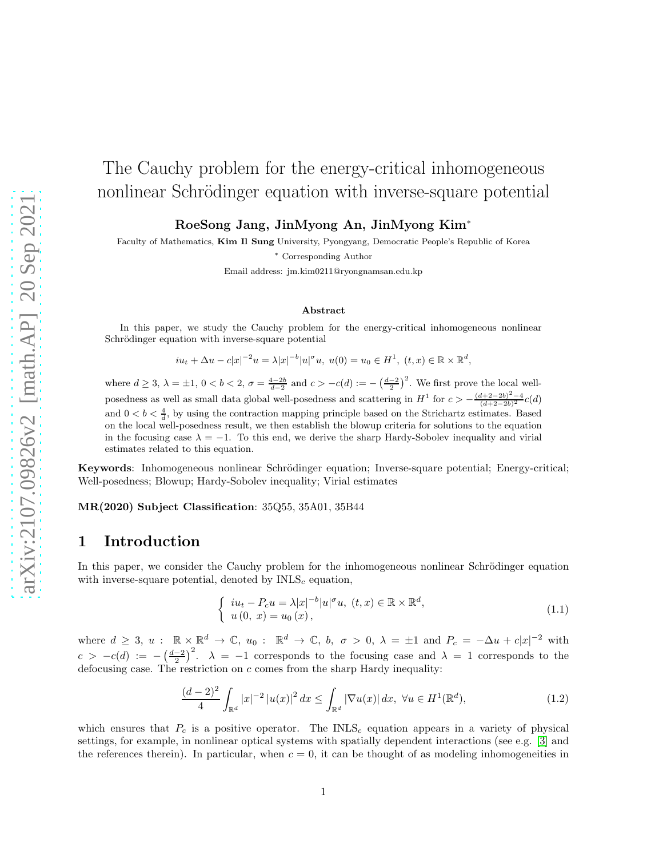# The Cauchy problem for the energy-critical inhomogeneous nonlinear Schrödinger equation with inverse-square potential

RoeSong Jang, JinMyong An, JinMyong Kim<sup>∗</sup>

Faculty of Mathematics, Kim Il Sung University, Pyongyang, Democratic People's Republic of Korea

<sup>∗</sup> Corresponding Author

Email address: jm.kim0211@ryongnamsan.edu.kp

#### Abstract

In this paper, we study the Cauchy problem for the energy-critical inhomogeneous nonlinear Schrödinger equation with inverse-square potential

$$
iu_t + \Delta u - c|x|^{-2}u = \lambda |x|^{-b}|u|^{\sigma}u, \ u(0) = u_0 \in H^1, \ (t, x) \in \mathbb{R} \times \mathbb{R}^d,
$$

where  $d \geq 3$ ,  $\lambda = \pm 1$ ,  $0 < b < 2$ ,  $\sigma = \frac{4-2b}{d-2}$  and  $c > -c(d) := -\left(\frac{d-2}{2}\right)^2$ . We first prove the local wellposedness as well as small data global well-posedness and scattering in  $H^1$  for  $c > -\frac{(d+2-2b)^2-4}{(d+2-2b)^2}c(d)$ and  $0 < b < \frac{4}{d}$ , by using the contraction mapping principle based on the Strichartz estimates. Based on the local well-posedness result, we then establish the blowup criteria for solutions to the equation in the focusing case  $\lambda = -1$ . To this end, we derive the sharp Hardy-Sobolev inequality and virial estimates related to this equation.

Keywords: Inhomogeneous nonlinear Schrödinger equation; Inverse-square potential; Energy-critical; Well-posedness; Blowup; Hardy-Sobolev inequality; Virial estimates

MR(2020) Subject Classification: 35Q55, 35A01, 35B44

# 1 Introduction

In this paper, we consider the Cauchy problem for the inhomogeneous nonlinear Schrödinger equation with inverse-square potential, denoted by  $INLS<sub>c</sub>$  equation,

<span id="page-0-0"></span>
$$
\begin{cases}\niu_t - P_c u = \lambda |x|^{-b} |u|^\sigma u, \ (t, x) \in \mathbb{R} \times \mathbb{R}^d, \\
u(0, x) = u_0(x),\n\end{cases} \tag{1.1}
$$

where  $d \geq 3$ ,  $u : \mathbb{R} \times \mathbb{R}^d \to \mathbb{C}$ ,  $u_0 : \mathbb{R}^d \to \mathbb{C}$ ,  $b, \sigma > 0$ ,  $\lambda = \pm 1$  and  $P_c = -\Delta u + c|x|^{-2}$  with  $c > -c(d) := -(\frac{d-2}{2})^2$ .  $\lambda = -1$  corresponds to the focusing case and  $\lambda = 1$  corresponds to the defocusing case. The restriction on  $c$  comes from the sharp Hardy inequality:

<span id="page-0-1"></span>
$$
\frac{(d-2)^2}{4} \int_{\mathbb{R}^d} |x|^{-2} |u(x)|^2 dx \le \int_{\mathbb{R}^d} |\nabla u(x)| dx, \ \forall u \in H^1(\mathbb{R}^d),\tag{1.2}
$$

which ensures that  $P_c$  is a positive operator. The INLS<sub>c</sub> equation appears in a variety of physical settings, for example, in nonlinear optical systems with spatially dependent interactions (see e.g. [\[3\]](#page-14-0) and the references therein). In particular, when  $c = 0$ , it can be thought of as modeling inhomogeneities in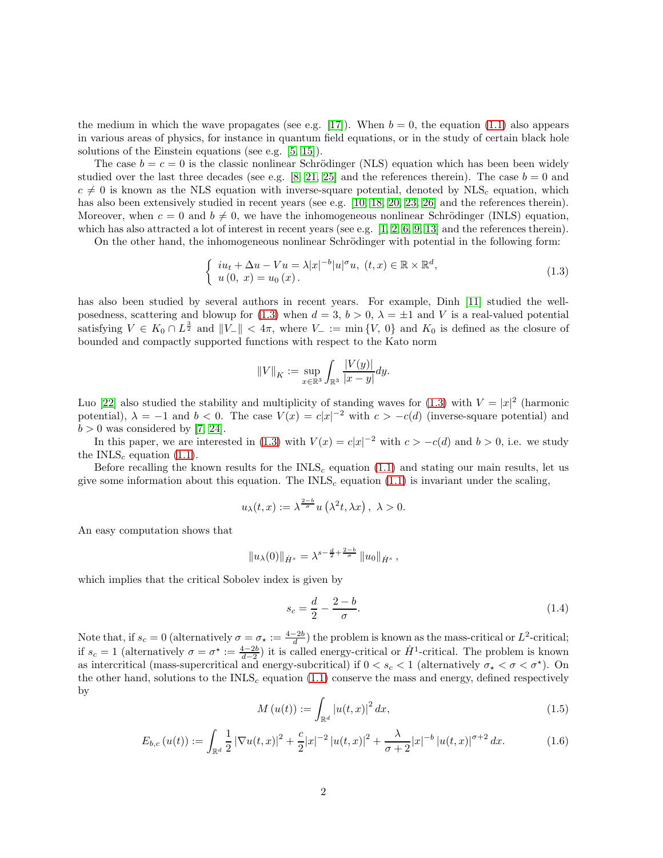the medium in which the wave propagates (see e.g. [\[17\]](#page-14-1)). When  $b = 0$ , the equation [\(1.1\)](#page-0-0) also appears in various areas of physics, for instance in quantum field equations, or in the study of certain black hole solutions of the Einstein equations (see e.g. [\[5,](#page-14-2) [15\]](#page-14-3)).

The case  $b = c = 0$  is the classic nonlinear Schrödinger (NLS) equation which has been been widely studied over the last three decades (see e.g. [\[8,](#page-14-4) [21,](#page-15-0) [25\]](#page-15-1) and the references therein). The case  $b = 0$  and  $c \neq 0$  is known as the NLS equation with inverse-square potential, denoted by NLS<sub>c</sub> equation, which has also been extensively studied in recent years (see e.g. [\[10,](#page-14-5) [18,](#page-14-6) [20,](#page-15-2) [23,](#page-15-3) [26\]](#page-15-4) and the references therein). Moreover, when  $c = 0$  and  $b \neq 0$ , we have the inhomogeneous nonlinear Schrödinger (INLS) equation, which has also attracted a lot of interest in recent years (see e.g. [\[1,](#page-14-7) [2,](#page-14-8) [6,](#page-14-9) [9,](#page-14-10) [13\]](#page-14-11) and the references therein).

On the other hand, the inhomogeneous nonlinear Schrödinger with potential in the following form:

<span id="page-1-0"></span>
$$
\begin{cases}\niu_t + \Delta u - Vu = \lambda |x|^{-b} |u|^\sigma u, \ (t, x) \in \mathbb{R} \times \mathbb{R}^d, \\
u(0, x) = u_0(x).\n\end{cases}
$$
\n(1.3)

has also been studied by several authors in recent years. For example, Dinh [\[11\]](#page-14-12) studied the well-posedness, scattering and blowup for [\(1.3\)](#page-1-0) when  $d = 3$ ,  $b > 0$ ,  $\lambda = \pm 1$  and V is a real-valued potential satisfying  $V \in K_0 \cap L^{\frac{3}{2}}$  and  $||V_-|| < 4\pi$ , where  $V_- := \min\{V, 0\}$  and  $K_0$  is defined as the closure of bounded and compactly supported functions with respect to the Kato norm

$$
||V||_K := \sup_{x \in \mathbb{R}^3} \int_{\mathbb{R}^3} \frac{|V(y)|}{|x - y|} dy.
$$

Luo [\[22\]](#page-15-5) also studied the stability and multiplicity of standing waves for [\(1.3\)](#page-1-0) with  $V = |x|^2$  (harmonic potential),  $\lambda = -1$  and  $b < 0$ . The case  $V(x) = c|x|^{-2}$  with  $c > -c(d)$  (inverse-square potential) and  $b > 0$  was considered by [\[7,](#page-14-13) [24\]](#page-15-6).

In this paper, we are interested in [\(1.3\)](#page-1-0) with  $V(x) = c|x|^{-2}$  with  $c > -c(d)$  and  $b > 0$ , i.e. we study the INLS<sub>c</sub> equation  $(1.1)$ .

Before recalling the known results for the  $INLS<sub>c</sub>$  equation [\(1.1\)](#page-0-0) and stating our main results, let us give some information about this equation. The  $INLS<sub>c</sub>$  equation [\(1.1\)](#page-0-0) is invariant under the scaling,

$$
u_\lambda(t,x):=\lambda^{\frac{2-b}{\sigma}}u\left(\lambda^2t,\lambda x\right),\ \lambda>0.
$$

An easy computation shows that

$$
||u_{\lambda}(0)||_{\dot{H}^{s}} = \lambda^{s-\frac{d}{2}+\frac{2-b}{\sigma}} ||u_{0}||_{\dot{H}^{s}},
$$

which implies that the critical Sobolev index is given by

$$
s_c = \frac{d}{2} - \frac{2 - b}{\sigma}.\tag{1.4}
$$

Note that, if  $s_c = 0$  (alternatively  $\sigma = \sigma_\star := \frac{4-2b}{d}$ ) the problem is known as the mass-critical or  $L^2$ -critical; if  $s_c = 1$  (alternatively  $\sigma = \sigma^* := \frac{4-2b}{d-2}$ ) it is called energy-critical or  $\dot{H}^1$ -critical. The problem is known as intercritical (mass-supercritical and energy-subcritical) if  $0 < s_c < 1$  (alternatively  $\sigma_{\star} < \sigma < \sigma^{\star}$ ). On the other hand, solutions to the INLS<sub>c</sub> equation  $(1.1)$  conserve the mass and energy, defined respectively by

$$
M(u(t)) := \int_{\mathbb{R}^d} |u(t, x)|^2 \, dx,\tag{1.5}
$$

<span id="page-1-1"></span>
$$
E_{b,c}(u(t)) := \int_{\mathbb{R}^d} \frac{1}{2} |\nabla u(t,x)|^2 + \frac{c}{2}|x|^{-2} |u(t,x)|^2 + \frac{\lambda}{\sigma+2}|x|^{-b} |u(t,x)|^{\sigma+2} dx.
$$
 (1.6)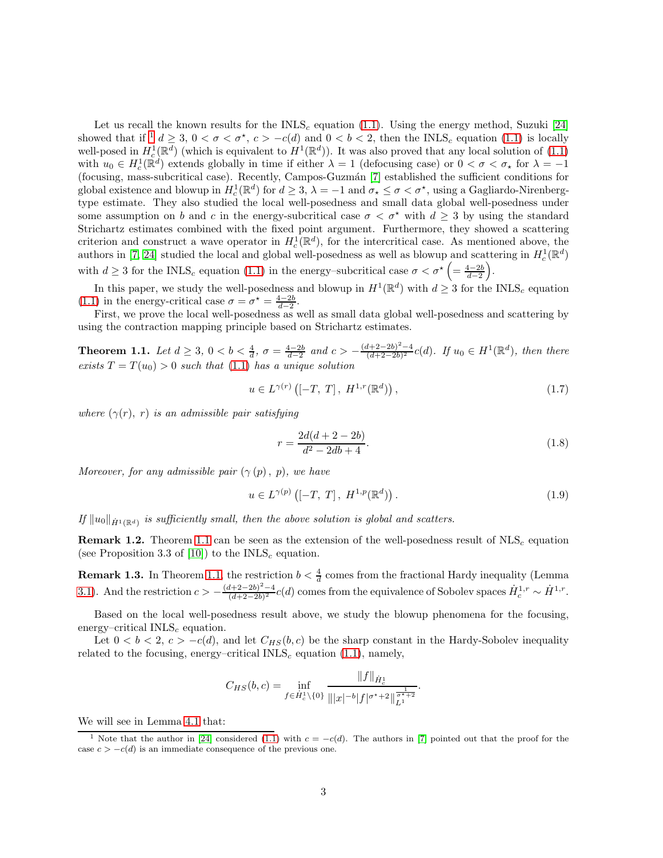Let us recall the known results for the INLS<sub>c</sub> equation [\(1.1\)](#page-0-0). Using the energy method, Suzuki [\[24\]](#page-15-6) showed that if  $d \geq 3$ ,  $0 < \sigma < \sigma^*$ ,  $c > -c(d)$  and  $0 < b < 2$ , then the INLS<sub>c</sub> equation ([1](#page-2-0).1) is locally well-posed in  $H_c^1(\mathbb{R}^d)$  (which is equivalent to  $H^1(\mathbb{R}^d)$ ). It was also proved that any local solution of  $(1.1)$ with  $u_0 \in H_c^1(\mathbb{R}^d)$  extends globally in time if either  $\lambda = 1$  (defocusing case) or  $0 < \sigma < \sigma_\star$  for  $\lambda = -1$ (focusing, mass-subcritical case). Recently, Campos-Guzm´an [\[7\]](#page-14-13) established the sufficient conditions for global existence and blowup in  $H_c^1(\mathbb{R}^d)$  for  $d \geq 3$ ,  $\lambda = -1$  and  $\sigma_{\star} \leq \sigma < \sigma^{\star}$ , using a Gagliardo-Nirenbergtype estimate. They also studied the local well-posedness and small data global well-posedness under some assumption on b and c in the energy-subcritical case  $\sigma < \sigma^*$  with  $d > 3$  by using the standard Strichartz estimates combined with the fixed point argument. Furthermore, they showed a scattering criterion and construct a wave operator in  $H_c^1(\mathbb{R}^d)$ , for the intercritical case. As mentioned above, the authors in [\[7,](#page-14-13) [24\]](#page-15-6) studied the local and global well-posedness as well as blowup and scattering in  $H_c^1(\mathbb{R}^d)$ with  $d \geq 3$  for the INLS<sub>c</sub> equation [\(1.1\)](#page-0-0) in the energy-subcritical case  $\sigma < \sigma^* \left( = \frac{4-2b}{d-2} \right)$ .

In this paper, we study the well-posedness and blowup in  $H^1(\mathbb{R}^d)$  with  $d \geq 3$  for the INLS<sub>c</sub> equation [\(1.1\)](#page-0-0) in the energy-critical case  $\sigma = \sigma^* = \frac{4-2b}{d-2}$ .

First, we prove the local well-posedness as well as small data global well-posedness and scattering by using the contraction mapping principle based on Strichartz estimates.

<span id="page-2-1"></span>**Theorem 1.1.** Let  $d \geq 3$ ,  $0 < b < \frac{4}{d}$ ,  $\sigma = \frac{4-2b}{d-2}$  and  $c > -\frac{(d+2-2b)^2-4}{(d+2-2b)^2}$  $\frac{(d+2-2b)^2-4}{(d+2-2b)^2}c(d)$ . If  $u_0 \in H^1(\mathbb{R}^d)$ , then there exists  $T = T(u_0) > 0$  such that [\(1.1\)](#page-0-0) has a unique solution

$$
u \in L^{\gamma(r)}([ -T, T], H^{1,r}(\mathbb{R}^d)), \qquad (1.7)
$$

where  $(\gamma(r), r)$  is an admissible pair satisfying

$$
r = \frac{2d(d+2-2b)}{d^2 - 2db + 4}.\tag{1.8}
$$

Moreover, for any admissible pair  $(\gamma(p), p)$ , we have

$$
u \in L^{\gamma(p)}([ -T, T], H^{1, p}(\mathbb{R}^d)).
$$
\n(1.9)

If  $||u_0||_{\dot{H}^1(\mathbb{R}^d)}$  is sufficiently small, then the above solution is global and scatters.

**Remark 1.2.** Theorem [1.1](#page-2-1) can be seen as the extension of the well-posedness result of  $NLS<sub>c</sub>$  equation (see Proposition 3.3 of [\[10\]](#page-14-5)) to the  $INLS<sub>c</sub>$  equation.

**Remark 1.3.** In Theorem [1.1,](#page-2-1) the restriction  $b < \frac{4}{d}$  comes from the fractional Hardy inequality (Lemma d [3.1\)](#page-4-0). And the restriction  $c > -\frac{(d+2-2b)^2-4}{(d+2-2b)^2}$  $\frac{d+2-2b)^2-4}{(d+2-2b)^2}c(d)$  comes from the equivalence of Sobolev spaces  $\dot{H}_c^{1,r} \sim \dot{H}^{1,r}$ .

Based on the local well-posedness result above, we study the blowup phenomena for the focusing, energy–critical  $INLS<sub>c</sub>$  equation.

Let  $0 < b < 2$ ,  $c > -c(d)$ , and let  $C_{HS}(b, c)$  be the sharp constant in the Hardy-Sobolev inequality related to the focusing, energy–critical  $INLS<sub>c</sub>$  equation [\(1.1\)](#page-0-0), namely,

$$
C_{HS}(b,c) = \inf_{f \in \dot{H}_c^1 \setminus \{0\}} \frac{\|f\|_{\dot{H}_c^1}}{\| |x|^{-b} |f|^{\sigma^*+2} \|\frac{1}{L^1}^{\sigma^*+2}}.
$$

We will see in Lemma [4.1](#page-8-0) that:

<span id="page-2-0"></span><sup>&</sup>lt;sup>1</sup> Note that the author in [\[24\]](#page-15-6) considered [\(1.1\)](#page-0-0) with  $c = -c(d)$ . The authors in [\[7\]](#page-14-13) pointed out that the proof for the case  $c > -c(d)$  is an immediate consequence of the previous one.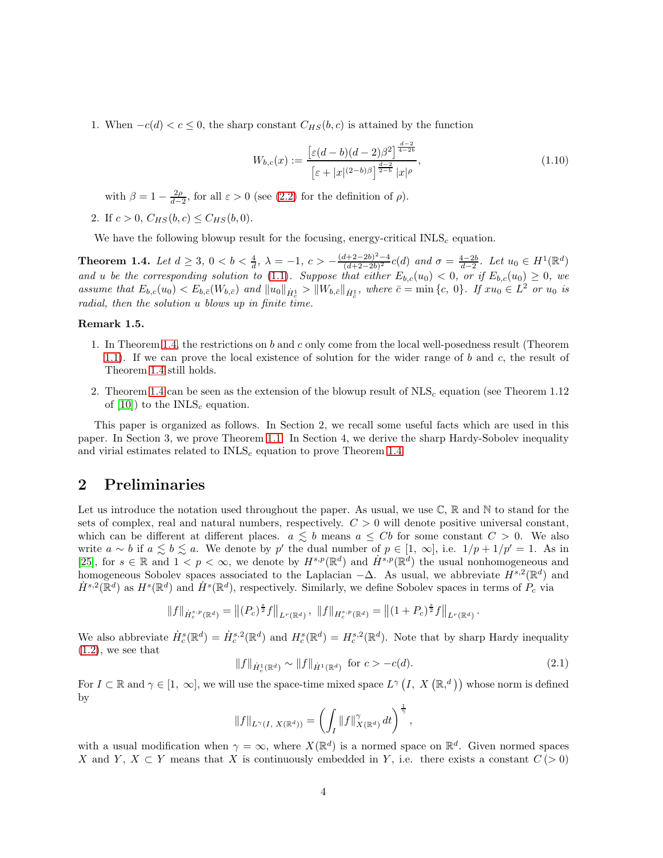1. When  $-c(d) < c \leq 0$ , the sharp constant  $C_{HS}(b, c)$  is attained by the function

<span id="page-3-1"></span>
$$
W_{b,c}(x) := \frac{\left[\varepsilon(d-b)(d-2)\beta^2\right]^{\frac{d-2}{4-2b}}}{\left[\varepsilon + |x|^{(2-b)\beta}\right]^{\frac{d-2}{2-b}}|x|^{\rho}},\tag{1.10}
$$

with  $\beta = 1 - \frac{2\rho}{d-2}$ , for all  $\varepsilon > 0$  (see [\(2.2\)](#page-4-1) for the definition of  $\rho$ ).

2. If  $c > 0$ ,  $C_{HS}(b, c) \leq C_{HS}(b, 0)$ .

We have the following blowup result for the focusing, energy-critical  $\text{INLS}_c$  equation.

<span id="page-3-0"></span>Theorem 1.4. Let  $d \geq 3$ ,  $0 < b < \frac{4}{d}$ ,  $\lambda = -1$ ,  $c > -\frac{(d+2-2b)^2-4}{(d+2-2b)^2}$  $\frac{d+2-2b)^2-4}{(d+2-2b)^2}c(d)$  and  $\sigma = \frac{4-2b}{d-2}$ . Let  $u_0 \in H^1(\mathbb{R}^d)$ and u be the corresponding solution to [\(1.1\)](#page-0-0). Suppose that either  $E_{b,c}(u_0) < 0$ , or if  $E_{b,c}(u_0) \geq 0$ , we assume that  $E_{b,c}(u_0) < E_{b,\bar{c}}(W_{b,\bar{c}})$  and  $||u_0||_{\dot{H}_c^1} > ||W_{b,\bar{c}}||_{\dot{H}_c^1}$ , where  $\bar{c} = \min\{c, 0\}$ . If  $xu_0 \in L^2$  or  $u_0$  is radial, then the solution u blows up in finite time.

#### Remark 1.5.

- 1. In Theorem [1.4,](#page-3-0) the restrictions on b and c only come from the local well-posedness result (Theorem [1.1\)](#page-2-1). If we can prove the local existence of solution for the wider range of b and c, the result of Theorem [1.4](#page-3-0) still holds.
- 2. Theorem [1.4](#page-3-0) can be seen as the extension of the blowup result of  $NLS<sub>c</sub>$  equation (see Theorem 1.12) of  $[10]$ ) to the INLS<sub>c</sub> equation.

This paper is organized as follows. In Section 2, we recall some useful facts which are used in this paper. In Section 3, we prove Theorem [1.1.](#page-2-1) In Section 4, we derive the sharp Hardy-Sobolev inequality and virial estimates related to  $INLS<sub>c</sub>$  equation to prove Theorem [1.4.](#page-3-0)

# 2 Preliminaries

Let us introduce the notation used throughout the paper. As usual, we use  $\mathbb{C}, \mathbb{R}$  and N to stand for the sets of complex, real and natural numbers, respectively.  $C > 0$  will denote positive universal constant, which can be different at different places.  $a \leq b$  means  $a \leq Cb$  for some constant  $C > 0$ . We also write  $a \sim b$  if  $a \leq b \leq a$ . We denote by p' the dual number of  $p \in [1, \infty]$ , i.e.  $1/p + 1/p' = 1$ . As in [\[25\]](#page-15-1), for  $s \in \mathbb{R}$  and  $1 < p < \infty$ , we denote by  $H^{s,p}(\mathbb{R}^d)$  and  $H^{s,p}(\mathbb{R}^d)$  the usual nonhomogeneous and homogeneous Sobolev spaces associated to the Laplacian  $-\Delta$ . As usual, we abbreviate  $H^{s,2}(\mathbb{R}^d)$  and  $\dot{H}^{s,2}(\mathbb{R}^d)$  as  $H^s(\mathbb{R}^d)$  and  $\dot{H}^s(\mathbb{R}^d)$ , respectively. Similarly, we define Sobolev spaces in terms of  $P_c$  via

$$
||f||_{\dot{H}_c^{s,p}(\mathbb{R}^d)} = ||(P_c)^{\frac{s}{2}}f||_{L^r(\mathbb{R}^d)}, \ ||f||_{H_c^{s,p}(\mathbb{R}^d)} = ||(1+P_c)^{\frac{s}{2}}f||_{L^r(\mathbb{R}^d)}.
$$

We also abbreviate  $\dot{H}_c^s(\mathbb{R}^d) = \dot{H}_c^{s,2}(\mathbb{R}^d)$  and  $H_c^s(\mathbb{R}^d) = H_c^{s,2}(\mathbb{R}^d)$ . Note that by sharp Hardy inequality  $(1.2)$ , we see that

$$
||f||_{\dot{H}_c^1(\mathbb{R}^d)} \sim ||f||_{\dot{H}^1(\mathbb{R}^d)} \text{ for } c > -c(d). \tag{2.1}
$$

For  $I \subset \mathbb{R}$  and  $\gamma \in [1, \infty]$ , we will use the space-time mixed space  $L^{\gamma}(I, X(\mathbb{R}, d))$  whose norm is defined by

$$
||f||_{L^{\gamma}(I, X(\mathbb{R}^d))} = \left(\int_I ||f||^{\gamma}_{X(\mathbb{R}^d)} dt\right)^{\frac{1}{\gamma}},
$$

with a usual modification when  $\gamma = \infty$ , where  $X(\mathbb{R}^d)$  is a normed space on  $\mathbb{R}^d$ . Given normed spaces X and Y,  $X \subset Y$  means that X is continuously embedded in Y, i.e. there exists a constant  $C(>0)$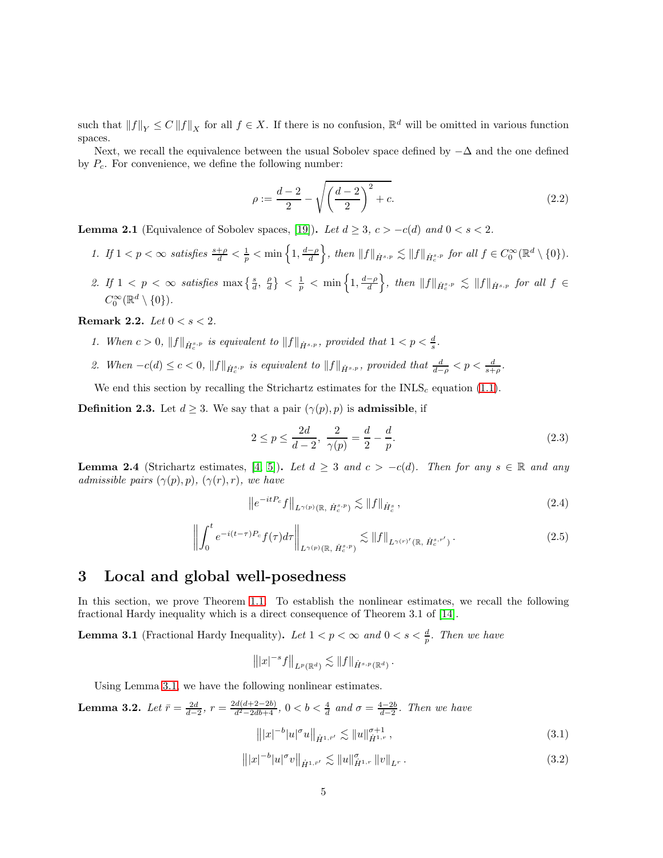such that  $||f||_Y \leq C ||f||_X$  for all  $f \in X$ . If there is no confusion,  $\mathbb{R}^d$  will be omitted in various function spaces.

Next, we recall the equivalence between the usual Sobolev space defined by  $-\Delta$  and the one defined by  $P_c$ . For convenience, we define the following number:

<span id="page-4-1"></span>
$$
\rho := \frac{d-2}{2} - \sqrt{\left(\frac{d-2}{2}\right)^2 + c}.\tag{2.2}
$$

**Lemma 2.1** (Equivalence of Sobolev spaces, [\[19\]](#page-14-14)). Let  $d \geq 3$ ,  $c > -c(d)$  and  $0 < s < 2$ .

- 1. If  $1 < p < \infty$  satisfies  $\frac{s+\rho}{d} < \frac{1}{p} < \min\left\{1, \frac{d-\rho}{d}\right\}$ , then  $||f||_{\dot{H}^{s,p}} \lesssim ||f||_{\dot{H}^{s,p}}$  for all  $f \in C_0^{\infty}(\mathbb{R}^d \setminus \{0\})$ .
- 2. If  $1 < p < \infty$  satisfies  $\max\left\{\frac{s}{d}, \frac{\rho}{d}\right\} < \frac{1}{p} < \min\left\{1, \frac{d-\rho}{d}\right\}$ , then  $||f||_{\dot{H}^{s,p}_{c}} \lesssim ||f||_{\dot{H}^{s,p}}$  for all  $f \in$  $C_0^{\infty}(\mathbb{R}^d\setminus\{0\}).$

<span id="page-4-3"></span>Remark 2.2. Let  $0 < s < 2$ .

- 1. When  $c > 0$ ,  $||f||_{\dot{H}^{s,p}_c}$  is equivalent to  $||f||_{\dot{H}^{s,p}}$ , provided that  $1 < p < \frac{d}{s}$ .
- 2. When  $-c(d) \leq c < 0$ ,  $||f||_{\dot{H}^{s,p}_c}$  is equivalent to  $||f||_{\dot{H}^{s,p}}$ , provided that  $\frac{d}{d-\rho} < p < \frac{d}{s+\rho}$ .

We end this section by recalling the Strichartz estimates for the  $INLS<sub>c</sub>$  equation [\(1.1\)](#page-0-0).

**Definition 2.3.** Let  $d \geq 3$ . We say that a pair  $(\gamma(p), p)$  is **admissible**, if

$$
2 \le p \le \frac{2d}{d-2}, \ \frac{2}{\gamma(p)} = \frac{d}{2} - \frac{d}{p}.\tag{2.3}
$$

<span id="page-4-5"></span>**Lemma 2.4** (Strichartz estimates, [\[4,](#page-14-15) [5\]](#page-14-2)). Let  $d \geq 3$  and  $c > -c(d)$ . Then for any  $s \in \mathbb{R}$  and any admissible pairs  $(\gamma(p), p)$ ,  $(\gamma(r), r)$ , we have

$$
\left\|e^{-itP_c}f\right\|_{L^{\gamma(p)}(\mathbb{R},\,\dot{H}_c^{s,p})} \lesssim \|f\|_{\dot{H}_c^s},\tag{2.4}
$$

$$
\left\| \int_0^t e^{-i(t-\tau)P_c} f(\tau) d\tau \right\|_{L^{\gamma(p)}(\mathbb{R},\,\dot{H}_c^{s,p})} \lesssim \|f\|_{L^{\gamma(r)'}(\mathbb{R},\,\dot{H}_c^{s,r'})}.
$$
\n(2.5)

## 3 Local and global well-posedness

In this section, we prove Theorem [1.1.](#page-2-1) To establish the nonlinear estimates, we recall the following fractional Hardy inequality which is a direct consequence of Theorem 3.1 of [\[14\]](#page-14-16).

<span id="page-4-0"></span>**Lemma 3.1** (Fractional Hardy Inequality). Let  $1 < p < \infty$  and  $0 < s < \frac{d}{p}$ . Then we have

$$
\||x|^{-s} f\|_{L^p(\mathbb{R}^d)} \lesssim \|f\|_{\dot{H}^{s,p}(\mathbb{R}^d)}.
$$

Using Lemma [3.1,](#page-4-0) we have the following nonlinear estimates.

<span id="page-4-4"></span>**Lemma 3.2.** Let  $\bar{r} = \frac{2d}{d-2}$ ,  $r = \frac{2d(d+2-2b)}{d^2-2db+4}$ ,  $0 < b < \frac{4}{d}$  and  $\sigma = \frac{4-2b}{d-2}$ . Then we have

<span id="page-4-2"></span>
$$
\left\| |x|^{-b} |u|^\sigma u \right\|_{\dot{H}^{1,\bar{r}'}} \lesssim \|u\|_{\dot{H}^{1,r}}^{\sigma+1},\tag{3.1}
$$

$$
\left\| |x|^{-b} |u|^\sigma v \right\|_{\dot{H}^{1,\bar{r}'}} \lesssim \|u\|_{\dot{H}^{1,r}}^\sigma \|v\|_{L^r} \,. \tag{3.2}
$$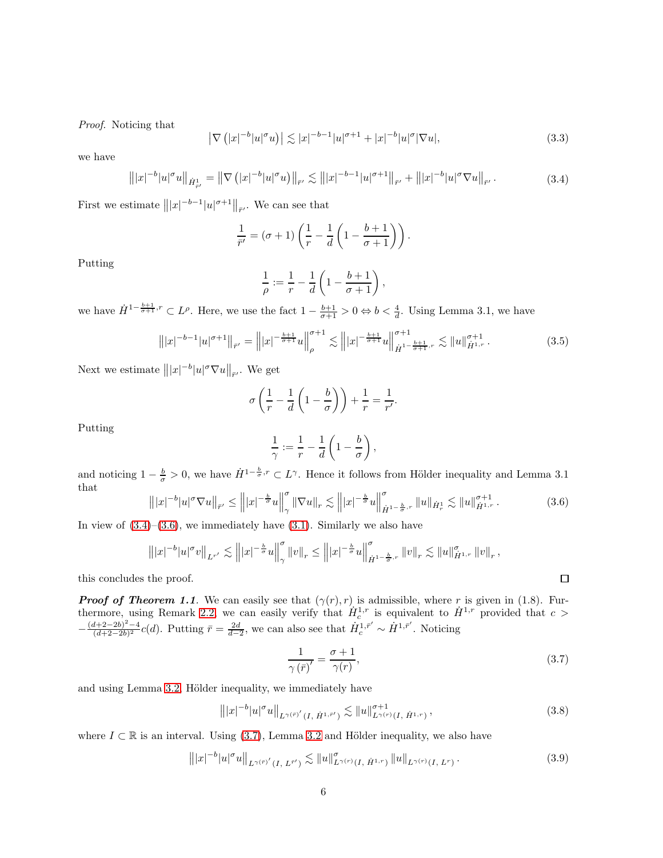Proof. Noticing that

$$
\left|\nabla\left(|x|^{-b}|u|^\sigma u\right)\right| \lesssim |x|^{-b-1}|u|^{\sigma+1} + |x|^{-b}|u|^\sigma |\nabla u|,\tag{3.3}
$$

we have

<span id="page-5-0"></span>
$$
\left\| |x|^{-b} |u|^\sigma u \right\|_{\dot{H}^1_{\bar{r}'}} = \left\| \nabla \left( |x|^{-b} |u|^\sigma u \right) \right\|_{\bar{r}'} \lesssim \left\| |x|^{-b-1} |u|^{\sigma+1} \right\|_{\bar{r}'} + \left\| |x|^{-b} |u|^\sigma \nabla u \right\|_{\bar{r}'}.
$$
\n(3.4)

First we estimate  $|||x|^{-b-1}|u|^{\sigma+1}||_{\bar{r'}}$ . We can see that

$$
\frac{1}{\bar{r}'} = (\sigma + 1) \left( \frac{1}{r} - \frac{1}{d} \left( 1 - \frac{b+1}{\sigma + 1} \right) \right).
$$

Putting

$$
\frac{1}{\rho} := \frac{1}{r} - \frac{1}{d} \left( 1 - \frac{b+1}{\sigma+1} \right),\,
$$

we have  $\dot{H}^{1-\frac{b+1}{\sigma+1},r} \subset L^{\rho}$ . Here, we use the fact  $1-\frac{b+1}{\sigma+1} > 0 \Leftrightarrow b < \frac{4}{d}$ . Using Lemma 3.1, we have

$$
\left\| |x|^{-b-1} |u|^{\sigma+1} \right\|_{\bar{r}'} = \left\| |x|^{-\frac{b+1}{\sigma+1}} u \right\|_{\rho}^{\sigma+1} \lesssim \left\| |x|^{-\frac{b+1}{\sigma+1}} u \right\|_{\dot{H}^{1-\frac{b+1}{\sigma+1},r}}^{\sigma+1} \lesssim \| u \|_{\dot{H}^{1,r}}^{\sigma+1} . \tag{3.5}
$$

Next we estimate  $|||x|^{-b}|u|^{\sigma}\nabla u||_{\bar{r}'}$ . We get

$$
\sigma\left(\frac{1}{r} - \frac{1}{d}\left(1 - \frac{b}{\sigma}\right)\right) + \frac{1}{r} = \frac{1}{r'}.
$$

Putting

$$
\frac{1}{\gamma} := \frac{1}{r} - \frac{1}{d} \left( 1 - \frac{b}{\sigma} \right),
$$

and noticing  $1-\frac{b}{\sigma}>0$ , we have  $\dot{H}^{1-\frac{b}{\sigma},r}\subset L^{\gamma}$ . Hence it follows from Hölder inequality and Lemma 3.1 that

<span id="page-5-1"></span>
$$
\left\| |x|^{-b} |u|^\sigma \nabla u \right\|_{\bar{r}'} \le \left\| |x|^{-\frac{b}{\sigma}} u \right\|_{\gamma}^\sigma \left\| \nabla u \right\|_{r} \lesssim \left\| |x|^{-\frac{b}{\sigma}} u \right\|_{\dot{H}^{1-\frac{b}{\sigma},r}}^\sigma \left\| u \right\|_{\dot{H}^1} \lesssim \left\| u \right\|_{\dot{H}^{1,r}}^{\sigma+1} . \tag{3.6}
$$

In view of  $(3.4)$ – $(3.6)$ , we immediately have  $(3.1)$ . Similarly we also have

$$
\left\||x|^{-b}|u|^{\sigma}v\right\|_{L^{r'}}\lesssim \left\||x|^{-\frac{b}{\sigma}}u\right\|_{\gamma}^{\sigma}\|v\|_{r}\leq \left\||x|^{-\frac{b}{\sigma}}u\right\|_{\dot{H}^{1-\frac{b}{\sigma},r}}^{\sigma}\|v\|_{r}\lesssim \|u\|_{\dot{H}^{1,r}}^{\sigma}\|v\|_{r},
$$

this concludes the proof.

**Proof of Theorem 1.1.** We can easily see that  $(\gamma(r), r)$  is admissible, where r is given in (1.8). Fur-thermore, using Remark [2.2,](#page-4-3) we can easily verify that  $\dot{H}_c^{1,r}$  is equivalent to  $\dot{H}^{1,r}$  provided that  $c >$  $-\frac{(d+2-2b)^2-4}{(d+2-2b)^2}$  $\frac{d+2-2b)^2-4}{(d+2-2b)^2}c(d)$ . Putting  $\bar{r}=\frac{2d}{d-2}$ , we can also see that  $\dot{H}_c^{1,\bar{r}'} \sim \dot{H}^{1,\bar{r}'}$ . Noticing

<span id="page-5-2"></span>
$$
\frac{1}{\gamma(\bar{r})'} = \frac{\sigma + 1}{\gamma(r)},\tag{3.7}
$$

and using Lemma [3.2,](#page-4-4) Hölder inequality, we immediately have

<span id="page-5-3"></span>
$$
\left\| |x|^{-b} |u|^\sigma u \right\|_{L^{\gamma(\bar{r})'}(I, \dot{H}^{1,\bar{r}'})} \lesssim \|u\|_{L^{\gamma(r)}(I, \dot{H}^{1,r})}^{\sigma+1},\tag{3.8}
$$

where  $I \subset \mathbb{R}$  is an interval. Using [\(3.7\)](#page-5-2), Lemma [3.2](#page-4-4) and Hölder inequality, we also have

<span id="page-5-4"></span>
$$
|||x|^{-b}|u|^{\sigma}u||_{L^{\gamma(\bar{r})'}(I,\,L^{\bar{r}'})} \lesssim ||u||^{\sigma}_{L^{\gamma(r)}(I,\,\dot{H}^{1,r})}||u||_{L^{\gamma(r)}(I,\,L^{r})}.
$$
\n(3.9)

 $\Box$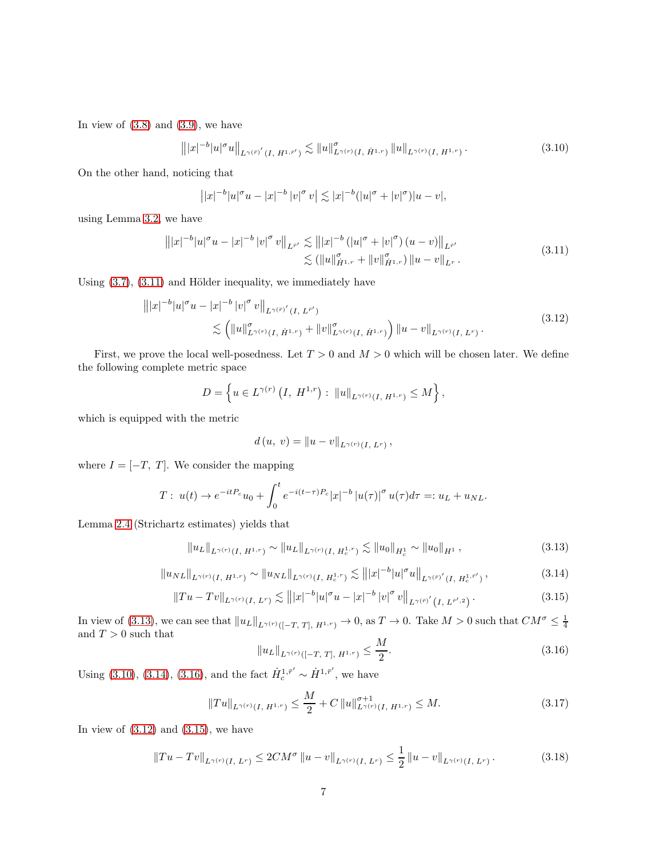In view of  $(3.8)$  and  $(3.9)$ , we have

<span id="page-6-2"></span>
$$
\left\| |x|^{-b} |u|^\sigma u \right\|_{L^\gamma(\bar{r})'} (I, H^{1, \bar{r}'}) \lesssim \|u\|_{L^\gamma(r)}^\sigma(I, \dot{H}^{1, r}) \|u\|_{L^\gamma(r)} (I, H^{1, r}) \,. \tag{3.10}
$$

On the other hand, noticing that

$$
||x|^{-b}|u|^{\sigma}u - |x|^{-b}|v|^{\sigma}v| \lesssim |x|^{-b}(|u|^{\sigma} + |v|^{\sigma})|u - v|,
$$

using Lemma [3.2,](#page-4-4) we have

<span id="page-6-0"></span>
$$
|||x|^{-b}|u|^{\sigma}u - |x|^{-b}|v|^{\sigma}v||_{L^{\bar{r}'}} \lesssim |||x|^{-b} (|u|^{\sigma} + |v|^{\sigma}) (u - v)||_{L^{\bar{r}'}}\lesssim (||u||_{\dot{H}^{1,r}}^{\sigma} + ||v||_{\dot{H}^{1,r}}^{\sigma}) ||u - v||_{L^r}.
$$
\n(3.11)

Using  $(3.7)$ ,  $(3.11)$  and Hölder inequality, we immediately have

<span id="page-6-5"></span>
$$
\| |x|^{-b} |u|^{\sigma} u - |x|^{-b} |v|^{\sigma} v \|_{L^{\gamma(r)'}(I, L^{r'})}
$$
  
\$\leq \left( \|u\|\_{L^{\gamma(r)}(I, \dot{H}^{1,r})}^{\sigma} + \|v\|\_{L^{\gamma(r)}(I, \dot{H}^{1,r})}^{\sigma} \right) \|u - v\|\_{L^{\gamma(r)}(I, L^{r})}. \qquad (3.12)\$

First, we prove the local well-posedness. Let  $T > 0$  and  $M > 0$  which will be chosen later. We define the following complete metric space

$$
D = \left\{ u \in L^{\gamma(r)}\left(I, H^{1,r}\right) : ||u||_{L^{\gamma(r)}(I, H^{1,r})} \leq M \right\},\
$$

which is equipped with the metric

$$
d(u, v) = ||u - v||_{L^{\gamma(r)}(I, L^r)},
$$

where  $I = [-T, T]$ . We consider the mapping

$$
T: u(t) \to e^{-itP_c}u_0 + \int_0^t e^{-i(t-\tau)P_c}|x|^{-b}|u(\tau)|^{\sigma}u(\tau)d\tau =: u_L + u_{NL}.
$$

Lemma [2.4](#page-4-5) (Strichartz estimates) yields that

<span id="page-6-1"></span>
$$
\|u_L\|_{L^{\gamma(r)}(I,\ H^{1,r})} \sim \|u_L\|_{L^{\gamma(r)}(I,\ H_c^{1,r})} \lesssim \|u_0\|_{H_c^1} \sim \|u_0\|_{H^1},\tag{3.13}
$$

<span id="page-6-3"></span>
$$
\|u_{NL}\|_{L^{\gamma(r)}(I,\ H^{1,r})} \sim \|u_{NL}\|_{L^{\gamma(r)}(I,\ H^{1,r}_c)} \lesssim \| |x|^{-b} |u|^\sigma u \|_{L^{\gamma(\bar{r})'}(I,\ H^{1,\bar{r}'}_c)},\tag{3.14}
$$

<span id="page-6-6"></span>
$$
||Tu - Tv||_{L^{\gamma(r)}(I, L^r)} \lesssim |||x|^{-b}|u|^{\sigma}u - |x|^{-b}|v|^{\sigma}v||_{L^{\gamma(\bar{r})'}(I, L^{\bar{r}', 2})}.
$$
\n(3.15)

In view of [\(3.13\)](#page-6-1), we can see that  $||u_L||_{L^{\gamma(r)}([-T, T], H^{1,r})} \to 0$ , as  $T \to 0$ . Take  $M > 0$  such that  $CM^{\sigma} \leq \frac{1}{4}$ and  $T > 0$  such that

<span id="page-6-4"></span>
$$
||u_L||_{L^{\gamma(r)}([-T, T], H^{1,r})} \le \frac{M}{2}.
$$
\n(3.16)

Using [\(3.10\)](#page-6-2), [\(3.14\)](#page-6-3), [\(3.16\)](#page-6-4), and the fact  $\dot{H}_c^{1,\bar{r}'} \sim \dot{H}^{1,\bar{r}'}$ , we have

<span id="page-6-7"></span>
$$
||Tu||_{L^{\gamma(r)}(I, H^{1,r})} \le \frac{M}{2} + C ||u||_{L^{\gamma(r)}(I, H^{1,r})}^{\sigma+1} \le M. \tag{3.17}
$$

In view of  $(3.12)$  and  $(3.15)$ , we have

<span id="page-6-8"></span>
$$
||Tu - Tv||_{L^{\gamma(r)}(I, L^r)} \le 2CM^{\sigma} ||u - v||_{L^{\gamma(r)}(I, L^r)} \le \frac{1}{2} ||u - v||_{L^{\gamma(r)}(I, L^r)}.
$$
 (3.18)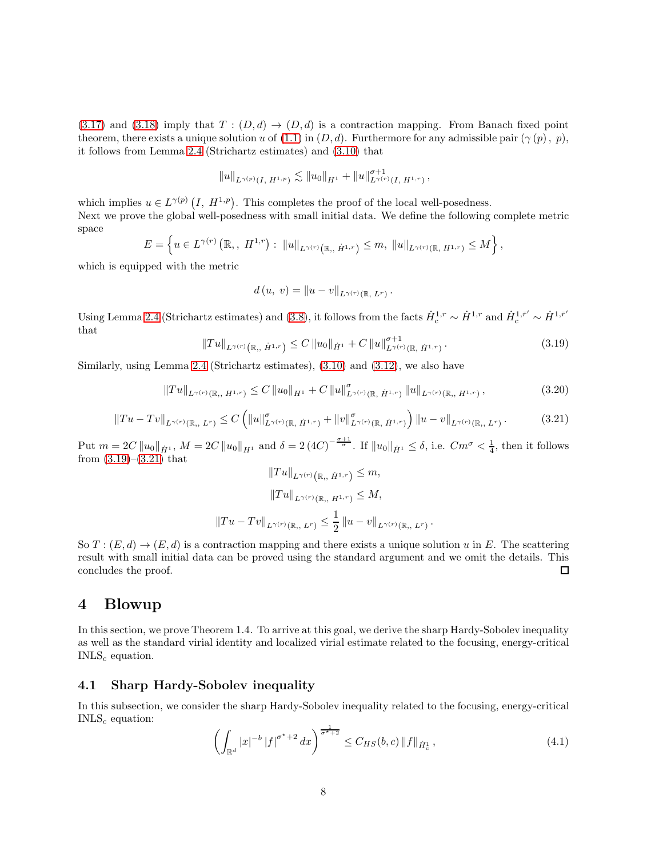[\(3.17\)](#page-6-7) and [\(3.18\)](#page-6-8) imply that  $T : (D,d) \rightarrow (D,d)$  is a contraction mapping. From Banach fixed point theorem, there exists a unique solution u of  $(1.1)$  in  $(D, d)$ . Furthermore for any admissible pair  $(\gamma(p), p)$ , it follows from Lemma [2.4](#page-4-5) (Strichartz estimates) and [\(3.10\)](#page-6-2) that

$$
||u||_{L^{\gamma(p)}(I, H^{1,p})} \lesssim ||u_0||_{H^1} + ||u||_{L^{\gamma(r)}(I, H^{1,r})}^{\sigma+1},
$$

which implies  $u \in L^{\gamma(p)}(I, H^{1,p})$ . This completes the proof of the local well-posedness. Next we prove the global well-posedness with small initial data. We define the following complete metric space

$$
E = \left\{ u \in L^{\gamma(r)}\left(\mathbb{R}_+, H^{1,r}\right) : ||u||_{L^{\gamma(r)}\left(\mathbb{R}, \dot{H}^{1,r}\right)} \leq m, ||u||_{L^{\gamma(r)}\left(\mathbb{R}, H^{1,r}\right)} \leq M \right\},\
$$

which is equipped with the metric

$$
d(u, v) = ||u - v||_{L^{\gamma(r)}(\mathbb{R}, L^r)}.
$$

Using Lemma [2.4](#page-4-5) (Strichartz estimates) and [\(3.8\)](#page-5-3), it follows from the facts  $\dot{H}_c^{1,r} \sim \dot{H}^{1,r}$  and  $\dot{H}_c^{1,\bar{r}'} \sim \dot{H}^{1,\bar{r}'}$ that

<span id="page-7-0"></span>
$$
||Tu||_{L^{\gamma(r)}(\mathbb{R},\dot{H}^{1,r})} \leq C ||u_0||_{\dot{H}^1} + C ||u||_{L^{\gamma(r)}(\mathbb{R},\dot{H}^{1,r})}^{\sigma+1}.
$$
 (3.19)

.

Similarly, using Lemma [2.4](#page-4-5) (Strichartz estimates), [\(3.10\)](#page-6-2) and [\(3.12\)](#page-6-5), we also have

$$
||Tu||_{L^{\gamma(r)}(\mathbb{R}, H^{1,r})} \leq C ||u_0||_{H^1} + C ||u||_{L^{\gamma(r)}(\mathbb{R}, \dot{H}^{1,r})}^{\sigma} ||u||_{L^{\gamma(r)}(\mathbb{R}, H^{1,r})}, \qquad (3.20)
$$

<span id="page-7-1"></span>
$$
||Tu - Tv||_{L^{\gamma(r)}(\mathbb{R}, L^r)} \leq C \left( ||u||^{\sigma}_{L^{\gamma(r)}(\mathbb{R}, \dot{H}^{1,r})} + ||v||^{\sigma}_{L^{\gamma(r)}(\mathbb{R}, \dot{H}^{1,r})} \right) ||u - v||_{L^{\gamma(r)}(\mathbb{R}, L^r)}.
$$
 (3.21)

Put  $m = 2C \|u_0\|_{\dot{H}^1}$ ,  $M = 2C \|u_0\|_{H^1}$  and  $\delta = 2 (4C)^{-\frac{\sigma+1}{\sigma}}$ . If  $\|u_0\|_{\dot{H}^1} \leq \delta$ , i.e.  $Cm^{\sigma} < \frac{1}{4}$ , then it follows from  $(3.19)$ – $(3.21)$  that

$$
||Tu||_{L^{\gamma(r)}(\mathbb{R}, H^{1,r})} \leq m,
$$
  

$$
||Tu||_{L^{\gamma(r)}(\mathbb{R}, H^{1,r})} \leq M,
$$
  

$$
||Tu - Tv||_{L^{\gamma(r)}(\mathbb{R}, L^r)} \leq \frac{1}{2} ||u - v||_{L^{\gamma(r)}(\mathbb{R}, L^r)}
$$

So  $T : (E, d) \to (E, d)$  is a contraction mapping and there exists a unique solution u in E. The scattering result with small initial data can be proved using the standard argument and we omit the details. This concludes the proof. □

# 4 Blowup

In this section, we prove Theorem 1.4. To arrive at this goal, we derive the sharp Hardy-Sobolev inequality as well as the standard virial identity and localized virial estimate related to the focusing, energy-critical  $INLS<sub>c</sub>$  equation.

#### 4.1 Sharp Hardy-Sobolev inequality

In this subsection, we consider the sharp Hardy-Sobolev inequality related to the focusing, energy-critical  $INLS<sub>c</sub>$  equation:

<span id="page-7-2"></span>
$$
\left(\int_{\mathbb{R}^d} |x|^{-b} |f|^{\sigma^*+2} dx\right)^{\frac{1}{\sigma^*+2}} \le C_{HS}(b,c) \|f\|_{\dot{H}_c^1},\tag{4.1}
$$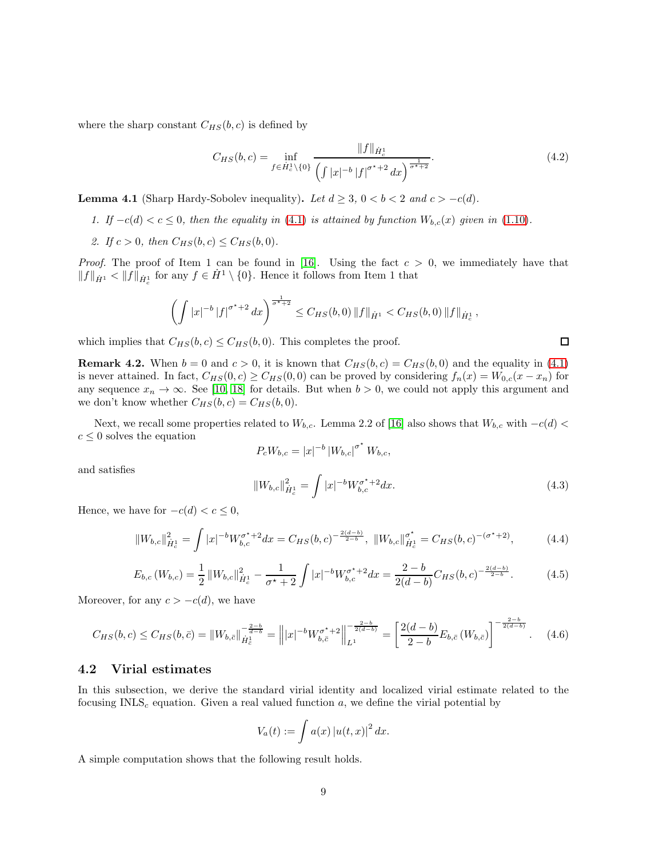where the sharp constant  $C_{HS}(b, c)$  is defined by

$$
C_{HS}(b,c) = \inf_{f \in \dot{H}_c^1 \setminus \{0\}} \frac{\|f\|_{\dot{H}_c^1}}{\left(\int |x|^{-b} |f|^{\sigma^*+2} dx\right)^{\frac{1}{\sigma^*+2}}}.
$$
(4.2)

<span id="page-8-0"></span>**Lemma 4.1** (Sharp Hardy-Sobolev inequality). Let  $d \geq 3$ ,  $0 < b < 2$  and  $c > -c(d)$ .

- 1. If  $-c(d) < c \leq 0$ , then the equality in [\(4.1\)](#page-7-2) is attained by function  $W_{b,c}(x)$  given in [\(1.10\)](#page-3-1).
- 2. If  $c > 0$ , then  $C_{HS}(b, c) \leq C_{HS}(b, 0)$ .

*Proof.* The proof of Item 1 can be found in [\[16\]](#page-14-17). Using the fact  $c > 0$ , we immediately have that  $||f||_{\dot{H}^1} < ||f||_{\dot{H}^1_c}$  for any  $f \in \dot{H}^1 \setminus \{0\}$ . Hence it follows from Item 1 that

$$
\left(\int |x|^{-b} |f|^{\sigma^*+2} dx\right)^{\frac{1}{\sigma^*+2}} \leq C_{HS}(b,0) \|f\|_{\dot{H}^1} < C_{HS}(b,0) \|f\|_{\dot{H}^1_c},
$$

which implies that  $C_{HS}(b, c) \leq C_{HS}(b, 0)$ . This completes the proof.

**Remark 4.2.** When  $b = 0$  and  $c > 0$ , it is known that  $C_{HS}(b, c) = C_{HS}(b, 0)$  and the equality in [\(4.1\)](#page-7-2) is never attained. In fact,  $C_{HS}(0, c) \geq C_{HS}(0, 0)$  can be proved by considering  $f_n(x) = W_{0,c}(x - x_n)$  for any sequence  $x_n \to \infty$ . See [\[10,](#page-14-5) [18\]](#page-14-6) for details. But when  $b > 0$ , we could not apply this argument and we don't know whether  $C_{HS}(b, c) = C_{HS}(b, 0)$ .

Next, we recall some properties related to  $W_{b,c}$ . Lemma 2.2 of [\[16\]](#page-14-17) also shows that  $W_{b,c}$  with  $-c(d)$  $c \leq 0$  solves the equation

$$
P_c W_{b,c} = |x|^{-b} |W_{b,c}|^{\sigma^*} W_{b,c},
$$

and satisfies

$$
||W_{b,c}||_{\dot{H}_c^1}^2 = \int |x|^{-b} W_{b,c}^{\sigma^*+2} dx.
$$
\n(4.3)

Hence, we have for  $-c(d) < c \leq 0$ ,

$$
||W_{b,c}||_{\dot{H}_c^1}^2 = \int |x|^{-b} W_{b,c}^{\sigma^*+2} dx = C_{HS}(b,c)^{-\frac{2(d-b)}{2-b}}, \ ||W_{b,c}||_{\dot{H}_c^1}^{\sigma^*} = C_{HS}(b,c)^{-(\sigma^*+2)}, \tag{4.4}
$$

$$
E_{b,c}(W_{b,c}) = \frac{1}{2} \|W_{b,c}\|_{\dot{H}_c^1}^2 - \frac{1}{\sigma^\star + 2} \int |x|^{-b} W_{b,c}^{\sigma^\star + 2} dx = \frac{2 - b}{2(d - b)} C_{HS}(b,c)^{-\frac{2(d - b)}{2 - b}}.
$$
 (4.5)

Moreover, for any  $c > -c(d)$ , we have

<span id="page-8-1"></span>
$$
C_{HS}(b,c) \leq C_{HS}(b,\bar{c}) = \|W_{b,\bar{c}}\|_{\dot{H}^1_c}^{-\frac{2-b}{d-b}} = \left\| |x|^{-b} W_{b,\bar{c}}^{\sigma^*+2} \right\|_{L^1}^{-\frac{2-b}{2(d-b)}} = \left[ \frac{2(d-b)}{2-b} E_{b,\bar{c}}\left(W_{b,\bar{c}}\right) \right]^{-\frac{2-b}{2(d-b)}}. \tag{4.6}
$$

#### 4.2 Virial estimates

In this subsection, we derive the standard virial identity and localized virial estimate related to the focusing  $INLS<sub>c</sub>$  equation. Given a real valued function a, we define the virial potential by

$$
V_a(t) := \int a(x) |u(t,x)|^2 dx.
$$

A simple computation shows that the following result holds.

 $\Box$ 

 $2-\frac{1}{2}$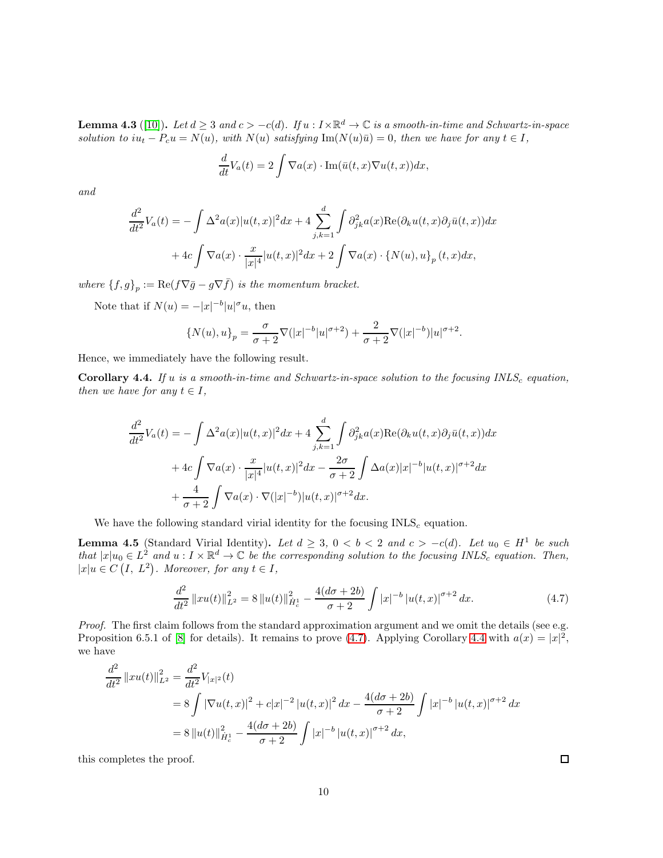**Lemma 4.3** ([\[10\]](#page-14-5)). Let  $d \geq 3$  and  $c > -c(d)$ . If  $u : I \times \mathbb{R}^d \to \mathbb{C}$  is a smooth-in-time and Schwartz-in-space solution to  $iu_t - P_c u = N(u)$ , with  $N(u)$  satisfying  $\text{Im}(N(u)\bar{u}) = 0$ , then we have for any  $t \in I$ ,

$$
\frac{d}{dt}V_a(t) = 2 \int \nabla a(x) \cdot \text{Im}(\bar{u}(t,x) \nabla u(t,x)) dx,
$$

and

$$
\frac{d^2}{dt^2}V_a(t) = -\int \Delta^2 a(x)|u(t,x)|^2 dx + 4 \sum_{j,k=1}^d \int \partial_{jk}^2 a(x) \text{Re}(\partial_k u(t,x) \partial_j \bar{u}(t,x)) dx
$$

$$
+ 4c \int \nabla a(x) \cdot \frac{x}{|x|^4} |u(t,x)|^2 dx + 2 \int \nabla a(x) \cdot \{N(u), u\}_p(t,x) dx,
$$

where  ${f, g}_p := \text{Re}(f \nabla \overline{g} - g \nabla \overline{f})$  is the momentum bracket.

Note that if  $N(u) = -|x|^{-b}|u|^{\sigma}u$ , then

$$
\{N(u),u\}_{p} = \frac{\sigma}{\sigma+2} \nabla (|x|^{-b}|u|^{\sigma+2}) + \frac{2}{\sigma+2} \nabla (|x|^{-b})|u|^{\sigma+2}.
$$

Hence, we immediately have the following result.

<span id="page-9-1"></span>**Corollary 4.4.** If u is a smooth-in-time and Schwartz-in-space solution to the focusing  $INLS<sub>c</sub>$  equation, then we have for any  $t \in I$ ,

$$
\frac{d^2}{dt^2}V_a(t) = -\int \Delta^2 a(x)|u(t,x)|^2 dx + 4 \sum_{j,k=1}^d \int \partial_{jk}^2 a(x) \text{Re}(\partial_k u(t,x) \partial_j \bar{u}(t,x)) dx
$$

$$
+ 4c \int \nabla a(x) \cdot \frac{x}{|x|^4} |u(t,x)|^2 dx - \frac{2\sigma}{\sigma+2} \int \Delta a(x)|x|^{-b} |u(t,x)|^{\sigma+2} dx
$$

$$
+ \frac{4}{\sigma+2} \int \nabla a(x) \cdot \nabla (|x|^{-b}) |u(t,x)|^{\sigma+2} dx.
$$

We have the following standard virial identity for the focusing  $INLS<sub>c</sub>$  equation.

<span id="page-9-2"></span>**Lemma 4.5** (Standard Virial Identity). Let  $d \geq 3$ ,  $0 < b < 2$  and  $c > -c(d)$ . Let  $u_0 \in H^1$  be such that  $|x|u_0 \in L^2$  and  $u: I \times \mathbb{R}^d \to \mathbb{C}$  be the corresponding solution to the focusing INLS<sub>c</sub> equation. Then,  $|x|u \in C(I, L^2)$ . Moreover, for any  $t \in I$ ,

<span id="page-9-0"></span>
$$
\frac{d^2}{dt^2} ||xu(t)||_{L^2}^2 = 8 ||u(t)||_{\dot{H}_c^1}^2 - \frac{4(d\sigma + 2b)}{\sigma + 2} \int |x|^{-b} |u(t,x)|^{\sigma + 2} dx.
$$
 (4.7)

Proof. The first claim follows from the standard approximation argument and we omit the details (see e.g. Proposition 6.5.1 of [\[8\]](#page-14-4) for details). It remains to prove [\(4.7\)](#page-9-0). Applying Corollary [4.4](#page-9-1) with  $a(x) = |x|^2$ , we have

$$
\frac{d^2}{dt^2} ||xu(t)||_{L^2}^2 = \frac{d^2}{dt^2} V_{|x|^2}(t)
$$
  
=  $8 \int |\nabla u(t, x)|^2 + c|x|^{-2} |u(t, x)|^2 dx - \frac{4(d\sigma + 2b)}{\sigma + 2} \int |x|^{-b} |u(t, x)|^{\sigma+2} dx$   
=  $8 ||u(t)||_{H_c^1}^2 - \frac{4(d\sigma + 2b)}{\sigma + 2} \int |x|^{-b} |u(t, x)|^{\sigma+2} dx$ ,

this completes the proof.

 $\Box$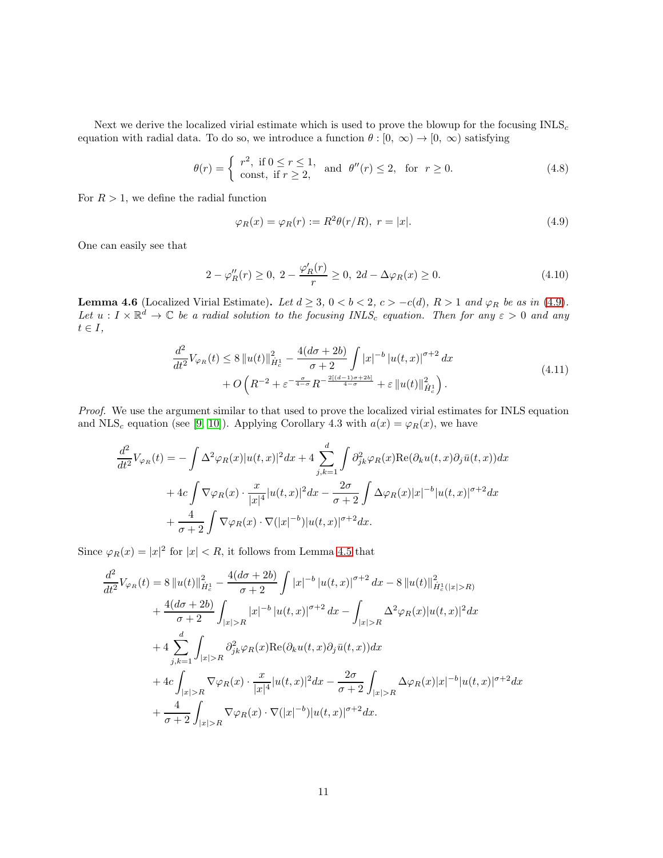Next we derive the localized virial estimate which is used to prove the blowup for the focusing  $INLS<sub>c</sub>$ equation with radial data. To do so, we introduce a function  $\theta : [0, \infty) \to [0, \infty)$  satisfying

$$
\theta(r) = \begin{cases} r^2, & \text{if } 0 \le r \le 1, \\ \text{const, if } r \ge 2, \end{cases} \quad \text{and} \quad \theta''(r) \le 2, \quad \text{for} \quad r \ge 0. \tag{4.8}
$$

For  $R > 1$ , we define the radial function

<span id="page-10-0"></span>
$$
\varphi_R(x) = \varphi_R(r) := R^2 \theta(r/R), \ r = |x|.
$$
\n(4.9)

One can easily see that

<span id="page-10-1"></span>
$$
2 - \varphi_R''(r) \ge 0, \ 2 - \frac{\varphi_R'(r)}{r} \ge 0, \ 2d - \Delta\varphi_R(x) \ge 0. \tag{4.10}
$$

**Lemma 4.6** (Localized Virial Estimate). Let  $d \geq 3$ ,  $0 < b < 2$ ,  $c > -c(d)$ ,  $R > 1$  and  $\varphi_R$  be as in [\(4.9\)](#page-10-0). Let  $u: I \times \mathbb{R}^d \to \mathbb{C}$  be a radial solution to the focusing INLS<sub>c</sub> equation. Then for any  $\varepsilon > 0$  and any  $t \in I$ ,

<span id="page-10-2"></span>
$$
\frac{d^2}{dt^2}V_{\varphi_R}(t) \le 8 \|u(t)\|_{\dot{H}_c^1}^2 - \frac{4(d\sigma + 2b)}{\sigma + 2} \int |x|^{-b} |u(t,x)|^{\sigma+2} dx \n+ O\left(R^{-2} + \varepsilon^{-\frac{\sigma}{4-\sigma}} R^{-\frac{2[(d-1)\sigma + 2b]}{\sigma}} + \varepsilon \|u(t)\|_{\dot{H}_c^1}^2\right).
$$
\n(4.11)

Proof. We use the argument similar to that used to prove the localized virial estimates for INLS equation and NLS<sub>c</sub> equation (see [\[9,](#page-14-10) [10\]](#page-14-5)). Applying Corollary 4.3 with  $a(x) = \varphi_R(x)$ , we have

$$
\frac{d^2}{dt^2}V_{\varphi_R}(t) = -\int \Delta^2 \varphi_R(x)|u(t,x)|^2 dx + 4 \sum_{j,k=1}^d \int \partial_{jk}^2 \varphi_R(x) \text{Re}(\partial_k u(t,x) \partial_j \bar{u}(t,x)) dx \n+ 4c \int \nabla \varphi_R(x) \cdot \frac{x}{|x|^4} |u(t,x)|^2 dx - \frac{2\sigma}{\sigma+2} \int \Delta \varphi_R(x) |x|^{-b} |u(t,x)|^{\sigma+2} dx \n+ \frac{4}{\sigma+2} \int \nabla \varphi_R(x) \cdot \nabla(|x|^{-b}) |u(t,x)|^{\sigma+2} dx.
$$

Since  $\varphi_R(x) = |x|^2$  for  $|x| < R$ , it follows from Lemma [4.5](#page-9-2) that

$$
\frac{d^2}{dt^2}V_{\varphi_R}(t) = 8\|u(t)\|_{\dot{H}_c^1}^2 - \frac{4(d\sigma + 2b)}{\sigma + 2} \int |x|^{-b} |u(t,x)|^{\sigma+2} dx - 8\|u(t)\|_{\dot{H}_c^1(|x|>R)}^2
$$
  
+ 
$$
\frac{4(d\sigma + 2b)}{\sigma + 2} \int_{|x|>R} |x|^{-b} |u(t,x)|^{\sigma+2} dx - \int_{|x|>R} \Delta^2 \varphi_R(x) |u(t,x)|^2 dx
$$
  
+ 
$$
4 \sum_{j,k=1}^d \int_{|x|>R} \partial_{jk}^2 \varphi_R(x) \text{Re}(\partial_k u(t,x) \partial_j \bar{u}(t,x)) dx
$$
  
+ 
$$
4c \int_{|x|>R} \nabla \varphi_R(x) \cdot \frac{x}{|x|^4} |u(t,x)|^2 dx - \frac{2\sigma}{\sigma + 2} \int_{|x|>R} \Delta \varphi_R(x) |x|^{-b} |u(t,x)|^{\sigma+2} dx
$$
  
+ 
$$
\frac{4}{\sigma + 2} \int_{|x|>R} \nabla \varphi_R(x) \cdot \nabla (|x|^{-b}) |u(t,x)|^{\sigma+2} dx.
$$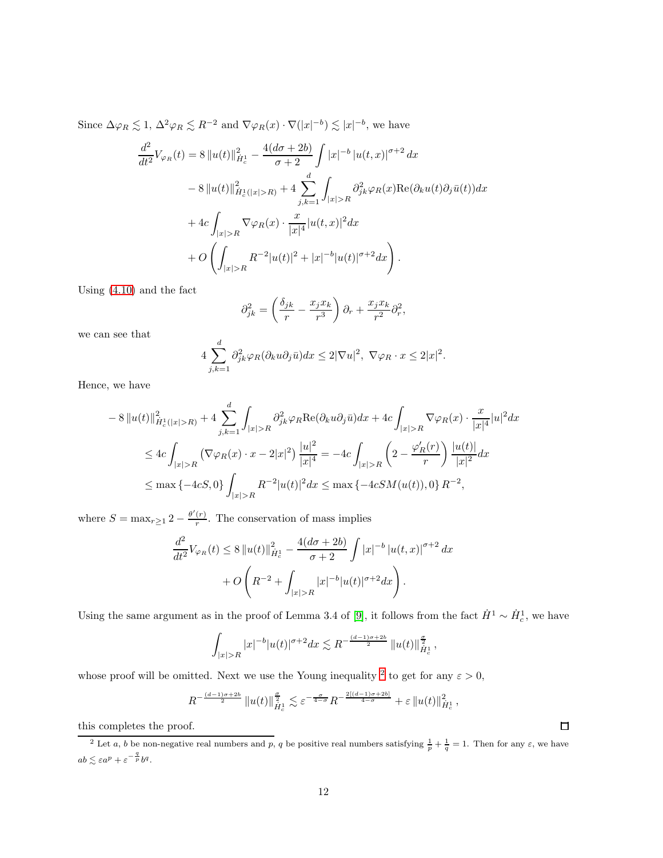Since  $\Delta \varphi_R \lesssim 1$ ,  $\Delta^2 \varphi_R \lesssim R^{-2}$  and  $\nabla \varphi_R(x) \cdot \nabla(|x|^{-b}) \lesssim |x|^{-b}$ , we have

$$
\frac{d^2}{dt^2}V_{\varphi_R}(t) = 8 \|u(t)\|_{\dot{H}_c^1}^2 - \frac{4(d\sigma + 2b)}{\sigma + 2} \int |x|^{-b} |u(t,x)|^{\sigma+2} dx
$$
  

$$
- 8 \|u(t)\|_{\dot{H}_c^1(|x|>R)}^2 + 4 \sum_{j,k=1}^d \int_{|x|>R} \partial_{jk}^2 \varphi_R(x) \text{Re}(\partial_k u(t) \partial_j \bar{u}(t)) dx
$$
  

$$
+ 4c \int_{|x|>R} \nabla \varphi_R(x) \cdot \frac{x}{|x|^4} |u(t,x)|^2 dx
$$
  

$$
+ O \left( \int_{|x|>R} R^{-2} |u(t)|^2 + |x|^{-b} |u(t)|^{\sigma+2} dx \right).
$$

Using [\(4.10\)](#page-10-1) and the fact

$$
\partial_{jk}^2 = \left(\frac{\delta_{jk}}{r} - \frac{x_j x_k}{r^3}\right)\partial_r + \frac{x_j x_k}{r^2}\partial_r^2,
$$

we can see that

$$
4\sum_{j,k=1}^d \partial_{jk}^2 \varphi_R(\partial_k u \partial_j \bar{u}) dx \le 2|\nabla u|^2, \ \nabla \varphi_R \cdot x \le 2|x|^2.
$$

Hence, we have

$$
-8 ||u(t)||^{2}_{\dot{H}_{c}(|x|>R)} + 4 \sum_{j,k=1}^{d} \int_{|x|>R} \partial_{jk}^{2} \varphi_{R} \text{Re}(\partial_{k}u \partial_{j}\bar{u}) dx + 4c \int_{|x|>R} \nabla \varphi_{R}(x) \cdot \frac{x}{|x|^{4}} |u|^{2} dx
$$
  
\n
$$
\leq 4c \int_{|x|>R} (\nabla \varphi_{R}(x) \cdot x - 2|x|^{2}) \frac{|u|^{2}}{|x|^{4}} = -4c \int_{|x|>R} \left(2 - \frac{\varphi_{R}'(r)}{r}\right) \frac{|u(t)|}{|x|^{2}} dx
$$
  
\n
$$
\leq \max \{-4cS, 0\} \int_{|x|>R} R^{-2} |u(t)|^{2} dx \leq \max \{-4cSM(u(t)), 0\} R^{-2},
$$

where  $S = \max_{r \geq 1} 2 - \frac{\theta'(r)}{r}$  $\frac{(r)}{r}$ . The conservation of mass implies

$$
\frac{d^2}{dt^2}V_{\varphi_R}(t) \le 8 \|u(t)\|_{\dot{H}_c^1}^2 - \frac{4(d\sigma + 2b)}{\sigma + 2} \int |x|^{-b} |u(t,x)|^{\sigma+2} dx
$$

$$
+ O\left(R^{-2} + \int_{|x|>R} |x|^{-b} |u(t)|^{\sigma+2} dx\right).
$$

Using the same argument as in the proof of Lemma 3.4 of [\[9\]](#page-14-10), it follows from the fact  $\dot{H}^1 \sim \dot{H}_c^1$ , we have

$$
\int_{|x|>R} |x|^{-b}|u(t)|^{\sigma+2}dx \lesssim R^{-\frac{(d-1)\sigma+2b}{2}} \, \|u(t)\|_{\dot{H}^1_c}^{\frac{\sigma}{2}},
$$

whose proof will be omitted. Next we use the Young inequality <sup>[2](#page-11-0)</sup> to get for any  $\varepsilon > 0$ ,

$$
R^{-\frac{(d-1)\sigma+2b}{2}}\left\|u(t)\right\|_{\dot{H}^1_c}^{\frac{\sigma}{2}}\lesssim \varepsilon^{-\frac{\sigma}{4-\sigma}}R^{-\frac{2[(d-1)\sigma+2b]}{4-\sigma}}+\varepsilon\left\|u(t)\right\|_{\dot{H}^1_c}^2,
$$

this completes the proof.

 $\Box$ 

<span id="page-11-0"></span><sup>&</sup>lt;sup>2</sup> Let a, b be non-negative real numbers and p, q be positive real numbers satisfying  $\frac{1}{p} + \frac{1}{q} = 1$ . Then for any  $\varepsilon$ , we have  $ab \lesssim \varepsilon a^p + \varepsilon^{-\frac{1}{p}}b^q.$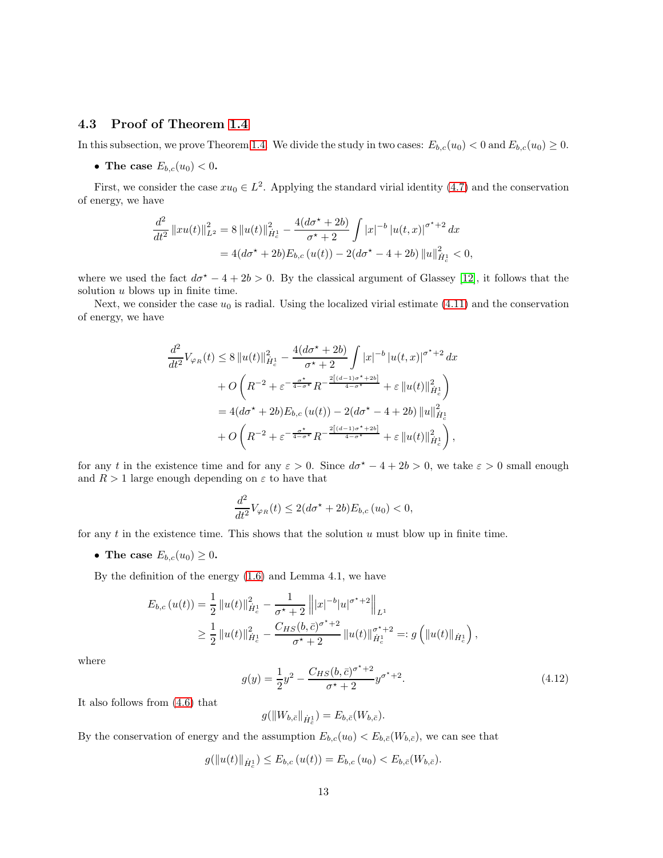### 4.3 Proof of Theorem [1.4](#page-3-0)

In this subsection, we prove Theorem [1.4.](#page-3-0) We divide the study in two cases:  $E_{b,c}(u_0) < 0$  and  $E_{b,c}(u_0) \geq 0$ .

• The case  $E_{b,c}(u_0) < 0$ .

First, we consider the case  $xu_0 \in L^2$ . Applying the standard virial identity [\(4.7\)](#page-9-0) and the conservation of energy, we have

$$
\frac{d^2}{dt^2} ||xu(t)||_{L^2}^2 = 8 ||u(t)||_{\dot{H}_c^1}^2 - \frac{4(d\sigma^* + 2b)}{\sigma^* + 2} \int |x|^{-b} |u(t,x)|^{\sigma^* + 2} dx
$$
  
= 4(d\sigma^\* + 2b)E\_{b,c}(u(t)) - 2(d\sigma^\* - 4 + 2b) ||u||\_{\dot{H}\_c^1}^2 < 0,

where we used the fact  $d\sigma^* - 4 + 2b > 0$ . By the classical argument of Glassey [\[12\]](#page-14-18), it follows that the solution  $u$  blows up in finite time.

Next, we consider the case  $u_0$  is radial. Using the localized virial estimate [\(4.11\)](#page-10-2) and the conservation of energy, we have

$$
\frac{d^2}{dt^2}V_{\varphi_R}(t) \le 8 \|u(t)\|_{\dot{H}_c^1}^2 - \frac{4(d\sigma^{\star} + 2b)}{\sigma^{\star} + 2} \int |x|^{-b} |u(t,x)|^{\sigma^{\star} + 2} dx \n+ O\left(R^{-2} + \varepsilon^{-\frac{\sigma^{\star}}{4 - \sigma^{\star}}} R^{-\frac{2[(d-1)\sigma^{\star} + 2b]}{4 - \sigma^{\star}}} + \varepsilon \|u(t)\|_{\dot{H}_c^1}^2\right) \n= 4(d\sigma^{\star} + 2b)E_{b,c}(u(t)) - 2(d\sigma^{\star} - 4 + 2b) \|u\|_{\dot{H}_c^1}^2 \n+ O\left(R^{-2} + \varepsilon^{-\frac{\sigma^{\star}}{4 - \sigma^{\star}}} R^{-\frac{2[(d-1)\sigma^{\star} + 2b]}{4 - \sigma^{\star}}} + \varepsilon \|u(t)\|_{\dot{H}_c^1}^2\right),
$$

for any t in the existence time and for any  $\varepsilon > 0$ . Since  $d\sigma^* - 4 + 2b > 0$ , we take  $\varepsilon > 0$  small enough and  $R > 1$  large enough depending on  $\varepsilon$  to have that

$$
\frac{d^2}{dt^2}V_{\varphi_R}(t) \le 2(d\sigma^* + 2b)E_{b,c}(u_0) < 0,
$$

for any  $t$  in the existence time. This shows that the solution  $u$  must blow up in finite time.

• The case  $E_{b,c}(u_0) \geq 0$ .

By the definition of the energy [\(1.6\)](#page-1-1) and Lemma 4.1, we have

$$
E_{b,c}(u(t)) = \frac{1}{2} ||u(t)||_{\dot{H}_c^1}^2 - \frac{1}{\sigma^{\star} + 2} ||x|^{-b} |u|^{\sigma^{\star} + 2} ||_{L^1}
$$
  
\n
$$
\geq \frac{1}{2} ||u(t)||_{\dot{H}_c^1}^2 - \frac{C_{HS}(b,\bar{c})^{\sigma^{\star} + 2}}{\sigma^{\star} + 2} ||u(t)||_{\dot{H}_c^1}^{\sigma^{\star} + 2} =: g (||u(t)||_{\dot{H}_c^1}),
$$

where

<span id="page-12-0"></span>
$$
g(y) = \frac{1}{2}y^2 - \frac{C_{HS}(b, \bar{c})^{\sigma^* + 2}}{\sigma^* + 2} y^{\sigma^* + 2}.
$$
 (4.12)

It also follows from [\(4.6\)](#page-8-1) that

$$
g(\|W_{b,\bar{c}}\|_{\dot{H}^1_{\bar{c}}})=E_{b,\bar{c}}(W_{b,\bar{c}}).
$$

By the conservation of energy and the assumption  $E_{b,c}(u_0) < E_{b,\bar{c}}(W_{b,\bar{c}})$ , we can see that

$$
g(||u(t)||_{\dot{H}_c^1}) \leq E_{b,c} (u(t)) = E_{b,c} (u_0) < E_{b,\bar{c}} (W_{b,\bar{c}}).
$$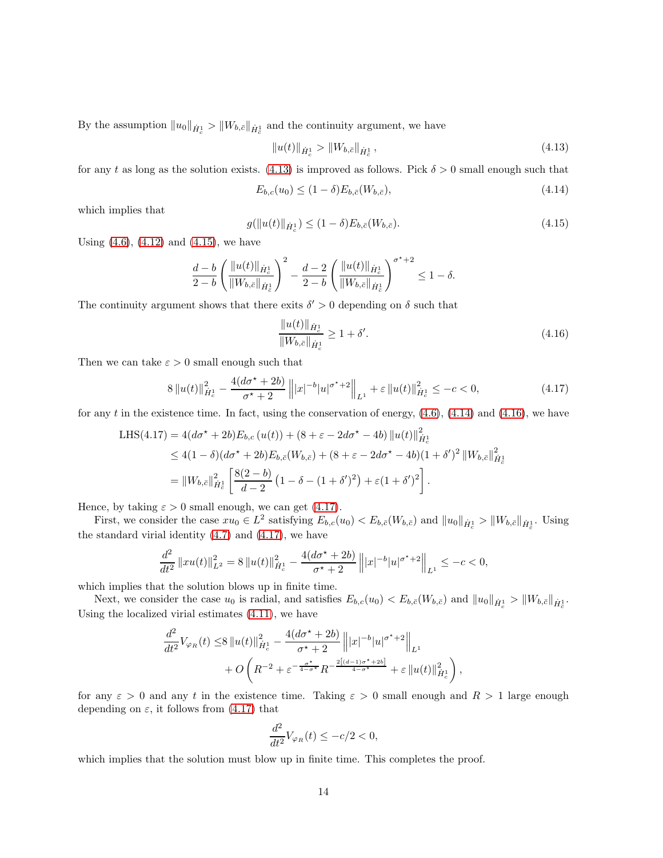By the assumption  $||u_0||_{\dot{H}_c^1}$  >  $||W_{b,\bar{c}}||_{\dot{H}_c^1}$  and the continuity argument, we have

<span id="page-13-0"></span>
$$
||u(t)||_{\dot{H}_c^1} > ||W_{b,\bar{c}}||_{\dot{H}_c^1},
$$
\n(4.13)

for any t as long as the solution exists. [\(4.13\)](#page-13-0) is improved as follows. Pick  $\delta > 0$  small enough such that

<span id="page-13-2"></span>
$$
E_{b,c}(u_0) \le (1 - \delta) E_{b,\bar{c}}(W_{b,\bar{c}}),\tag{4.14}
$$

which implies that

<span id="page-13-1"></span>
$$
g(||u(t)||_{\dot{H}_c^1}) \le (1 - \delta) E_{b,\bar{c}}(W_{b,\bar{c}}).
$$
\n(4.15)

Using  $(4.6)$ ,  $(4.12)$  and  $(4.15)$ , we have

$$
\frac{d-b}{2-b}\left(\frac{\|u(t)\|_{\dot{H}^1_c}}{\|W_{b,\bar{c}}\|_{\dot{H}^1_{\bar{c}}}}\right)^2-\frac{d-2}{2-b}\left(\frac{\|u(t)\|_{\dot{H}^1_c}}{\|W_{b,\bar{c}}\|_{\dot{H}^1_{\bar{c}}}}\right)^{\sigma^\star+2}\leq 1-\delta.
$$

The continuity argument shows that there exits  $\delta' > 0$  depending on  $\delta$  such that

<span id="page-13-3"></span>
$$
\frac{\|u(t)\|_{\dot{H}_c^1}}{\|W_{b,\bar{c}}\|_{\dot{H}_c^1}} \ge 1 + \delta'.
$$
\n(4.16)

Then we can take  $\varepsilon > 0$  small enough such that

<span id="page-13-4"></span>
$$
8\|u(t)\|_{\dot{H}_c^1}^2 - \frac{4(d\sigma^* + 2b)}{\sigma^* + 2} \| |x|^{-b} |u|^{\sigma^* + 2} \|_{L^1} + \varepsilon \|u(t)\|_{\dot{H}_c^1}^2 \le -c < 0,\tag{4.17}
$$

for any t in the existence time. In fact, using the conservation of energy,  $(4.6)$ ,  $(4.14)$  and  $(4.16)$ , we have

LHS(4.17) = 
$$
4(d\sigma^* + 2b)E_{b,c}(u(t)) + (8 + \varepsilon - 2d\sigma^* - 4b) ||u(t)||_{\dot{H}_c^1}^2
$$
  
\n $\leq 4(1 - \delta)(d\sigma^* + 2b)E_{b,\bar{c}}(W_{b,\bar{c}}) + (8 + \varepsilon - 2d\sigma^* - 4b)(1 + \delta')^2 ||W_{b,\bar{c}}||_{\dot{H}_c^1}^2$   
\n $= ||W_{b,\bar{c}}||_{\dot{H}_c^1}^2 \left[ \frac{8(2 - b)}{d - 2} (1 - \delta - (1 + \delta')^2) + \varepsilon (1 + \delta')^2 \right].$ 

Hence, by taking  $\varepsilon > 0$  small enough, we can get [\(4.17\)](#page-13-4).

First, we consider the case  $xu_0 \in L^2$  satisfying  $E_{b,c}(u_0) < E_{b,\bar{c}}(W_{b,\bar{c}})$  and  $||u_0||_{\dot{H}_c^1} > ||W_{b,\bar{c}}||_{\dot{H}_c^1}$ . Using the standard virial identity  $(4.7)$  and  $(4.17)$ , we have

$$
\frac{d^2}{dt^2} ||xu(t)||_{L^2}^2 = 8 ||u(t)||_{\dot{H}_c^1}^2 - \frac{4(d\sigma^* + 2b)}{\sigma^* + 2} ||x|^{-b} |u|^{\sigma^* + 2} ||_{L^1} \leq -c < 0,
$$

which implies that the solution blows up in finite time.

Next, we consider the case  $u_0$  is radial, and satisfies  $E_{b,c}(u_0) < E_{b,\bar{c}}(W_{b,\bar{c}})$  and  $||u_0||_{\dot{H}_c^1} > ||W_{b,\bar{c}}||_{\dot{H}_c^1}$ . Using the localized virial estimates [\(4.11\)](#page-10-2), we have

$$
\frac{d^2}{dt^2}V_{\varphi_R}(t) \leq 8 \|u(t)\|_{\dot{H}_c^1}^2 - \frac{4(d\sigma^* + 2b)}{\sigma^* + 2} \|x|^{-b}|u|^{\sigma^*+2}\|_{L^1} \n+ O\left(R^{-2} + \varepsilon^{-\frac{\sigma^*}{4-\sigma^*}}R^{-\frac{2[(d-1)\sigma^* + 2b]}{4-\sigma^*}} + \varepsilon \|u(t)\|_{\dot{H}_c^1}^2\right),
$$

for any  $\varepsilon > 0$  and any t in the existence time. Taking  $\varepsilon > 0$  small enough and  $R > 1$  large enough depending on  $\varepsilon$ , it follows from [\(4.17\)](#page-13-4) that

$$
\frac{d^2}{dt^2}V_{\varphi_R}(t) \le -c/2 < 0,
$$

which implies that the solution must blow up in finite time. This completes the proof.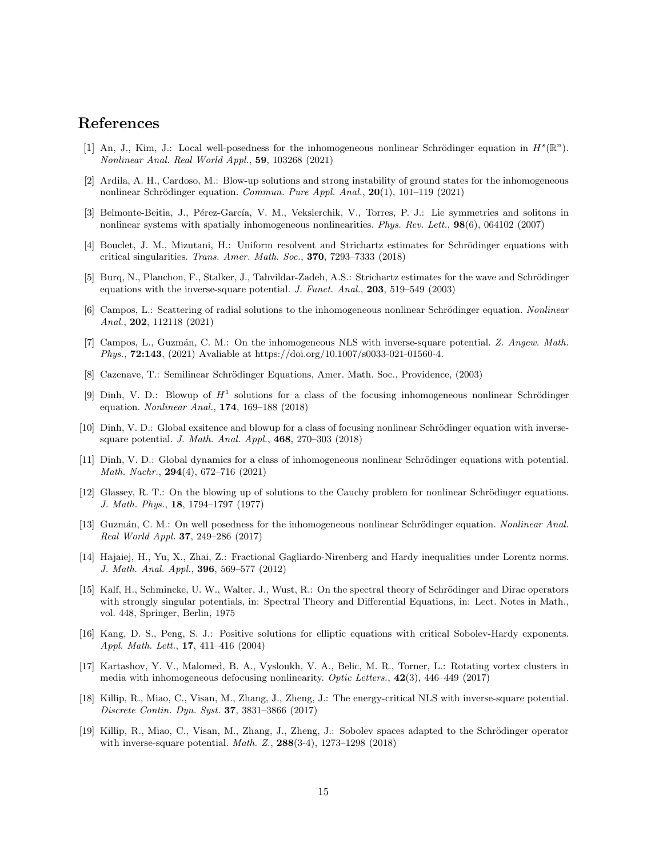# <span id="page-14-7"></span>References

- [1] An, J., Kim, J.: Local well-posedness for the inhomogeneous nonlinear Schrödinger equation in  $H^s(\mathbb{R}^n)$ . Nonlinear Anal. Real World Appl., 59, 103268 (2021)
- <span id="page-14-8"></span><span id="page-14-0"></span>[2] Ardila, A. H., Cardoso, M.: Blow-up solutions and strong instability of ground states for the inhomogeneous nonlinear Schrödinger equation. Commun. Pure Appl. Anal.,  $20(1)$ ,  $101-119$  (2021)
- <span id="page-14-15"></span>[3] Belmonte-Beitia, J., Pérez-García, V. M., Vekslerchik, V., Torres, P. J.: Lie symmetries and solitons in nonlinear systems with spatially inhomogeneous nonlinearities. Phys. Rev. Lett., 98(6), 064102 (2007)
- <span id="page-14-2"></span>[4] Bouclet, J. M., Mizutani, H.: Uniform resolvent and Strichartz estimates for Schrödinger equations with critical singularities. Trans. Amer. Math. Soc., 370, 7293–7333 (2018)
- [5] Burq, N., Planchon, F., Stalker, J., Tahvildar-Zadeh, A.S.: Strichartz estimates for the wave and Schrödinger equations with the inverse-square potential. J. Funct. Anal., 203, 519–549 (2003)
- <span id="page-14-9"></span>[6] Campos, L.: Scattering of radial solutions to the inhomogeneous nonlinear Schrödinger equation. Nonlinear Anal., 202, 112118 (2021)
- <span id="page-14-13"></span>[7] Campos, L., Guzmán, C. M.: On the inhomogeneous NLS with inverse-square potential. Z. Angew. Math. Phys., 72:143, (2021) Avaliable at https://doi.org/10.1007/s0033-021-01560-4.
- <span id="page-14-10"></span><span id="page-14-4"></span>[8] Cazenave, T.: Semilinear Schrödinger Equations, Amer. Math. Soc., Providence, (2003)
- [9] Dinh, V. D.: Blowup of  $H^1$  solutions for a class of the focusing inhomogeneous nonlinear Schrödinger equation. Nonlinear Anal., 174, 169–188 (2018)
- <span id="page-14-5"></span>[10] Dinh, V. D.: Global exsitence and blowup for a class of focusing nonlinear Schrödinger equation with inversesquare potential. J. Math. Anal. Appl., 468, 270–303 (2018)
- <span id="page-14-12"></span>[11] Dinh, V. D.: Global dynamics for a class of inhomogeneous nonlinear Schrödinger equations with potential. Math. Nachr., 294(4), 672–716 (2021)
- <span id="page-14-18"></span>[12] Glassey, R. T.: On the blowing up of solutions to the Cauchy problem for nonlinear Schrödinger equations. J. Math. Phys., 18, 1794–1797 (1977)
- <span id="page-14-11"></span>[13] Guzmán, C. M.: On well posedness for the inhomogeneous nonlinear Schrödinger equation. Nonlinear Anal. Real World Appl. 37, 249–286 (2017)
- <span id="page-14-16"></span>[14] Hajaiej, H., Yu, X., Zhai, Z.: Fractional Gagliardo-Nirenberg and Hardy inequalities under Lorentz norms. J. Math. Anal. Appl., 396, 569–577 (2012)
- <span id="page-14-3"></span>[15] Kalf, H., Schmincke, U. W., Walter, J., Wust, R.: On the spectral theory of Schrödinger and Dirac operators with strongly singular potentials, in: Spectral Theory and Differential Equations, in: Lect. Notes in Math., vol. 448, Springer, Berlin, 1975
- <span id="page-14-17"></span>[16] Kang, D. S., Peng, S. J.: Positive solutions for elliptic equations with critical Sobolev-Hardy exponents. Appl. Math. Lett., 17, 411–416 (2004)
- <span id="page-14-1"></span>[17] Kartashov, Y. V., Malomed, B. A., Vysloukh, V. A., Belic, M. R., Torner, L.: Rotating vortex clusters in media with inhomogeneous defocusing nonlinearity. Optic Letters., 42(3), 446–449 (2017)
- <span id="page-14-6"></span>[18] Killip, R., Miao, C., Visan, M., Zhang, J., Zheng, J.: The energy-critical NLS with inverse-square potential. Discrete Contin. Dyn. Syst. 37, 3831–3866 (2017)
- <span id="page-14-14"></span>[19] Killip, R., Miao, C., Visan, M., Zhang, J., Zheng, J.: Sobolev spaces adapted to the Schrödinger operator with inverse-square potential. Math. Z., 288(3-4), 1273–1298 (2018)